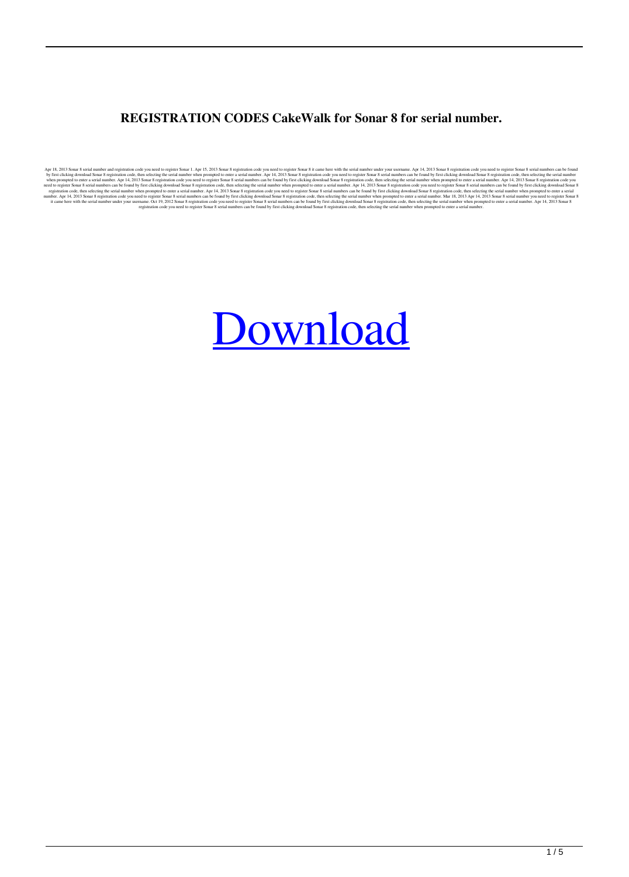## **REGISTRATION CODES CakeWalk for Sonar 8 for serial number.**

Apr is, 2013 Some 8 registration code, then selecting the serial number when prompted to enter a serial number when then selecting the serial number when prompted to enter a serial number when then when be wind selecting t

## [Download](http://evacdir.com/tectonic/ferment/?Q2FrZXdhbGsgU29uYXIgOCBTZXJpYWwgTnVtYmVyIFJlZ2lzdHJhdGlvbiBDb2RlbAQ2F=moisturizing&ZG93bmxvYWR8cmsxWkRObmEzeDhNVFkxTlRnME1qazRNWHg4TWpVM05IeDhLRTBwSUhKbFlXUXRZbXh2WnlCYlJtRnpkQ0JIUlU1ZA=cheese)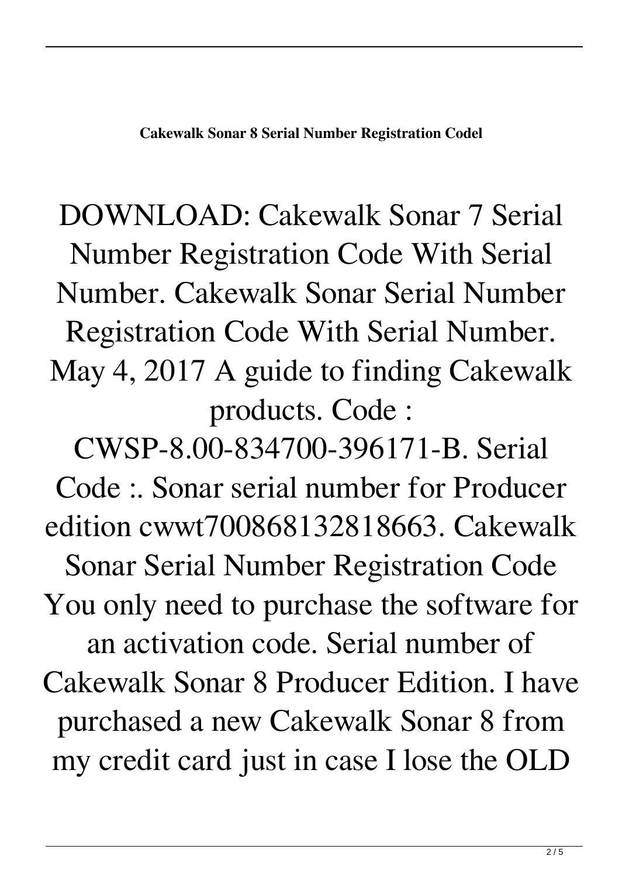## DOWNLOAD: Cakewalk Sonar 7 Serial Number Registration Code With Serial Number. Cakewalk Sonar Serial Number Registration Code With Serial Number. May 4, 2017 A guide to finding Cakewalk products. Code :

CWSP-8.00-834700-396171-B. Serial Code :. Sonar serial number for Producer edition cwwt700868132818663. Cakewalk Sonar Serial Number Registration Code You only need to purchase the software for an activation code. Serial number of Cakewalk Sonar 8 Producer Edition. I have purchased a new Cakewalk Sonar 8 from my credit card just in case I lose the OLD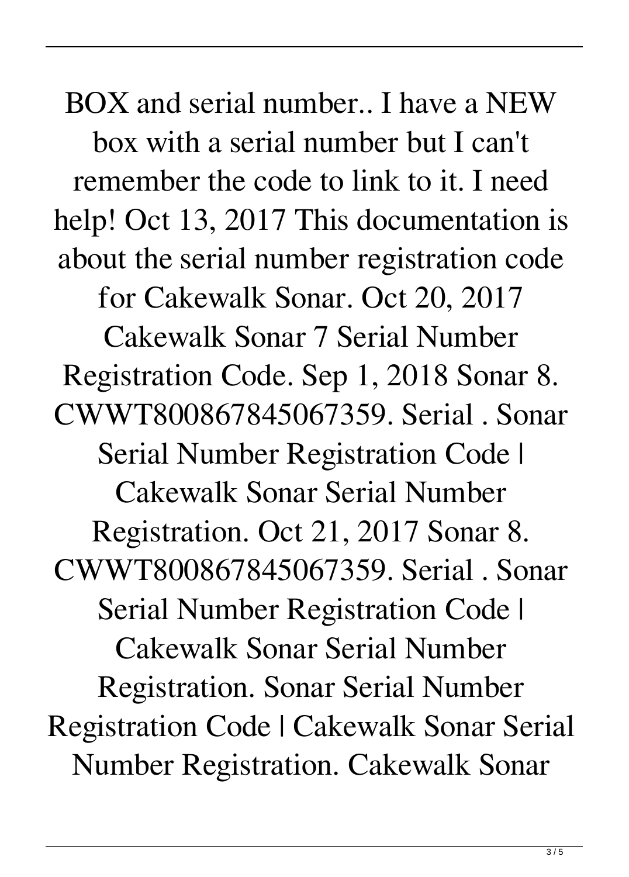BOX and serial number.. I have a NEW box with a serial number but I can't remember the code to link to it. I need help! Oct 13, 2017 This documentation is about the serial number registration code

for Cakewalk Sonar. Oct 20, 2017

Cakewalk Sonar 7 Serial Number Registration Code. Sep 1, 2018 Sonar 8. CWWT800867845067359. Serial . Sonar Serial Number Registration Code | Cakewalk Sonar Serial Number Registration. Oct 21, 2017 Sonar 8. CWWT800867845067359. Serial . Sonar Serial Number Registration Code | Cakewalk Sonar Serial Number Registration. Sonar Serial Number Registration Code | Cakewalk Sonar Serial Number Registration. Cakewalk Sonar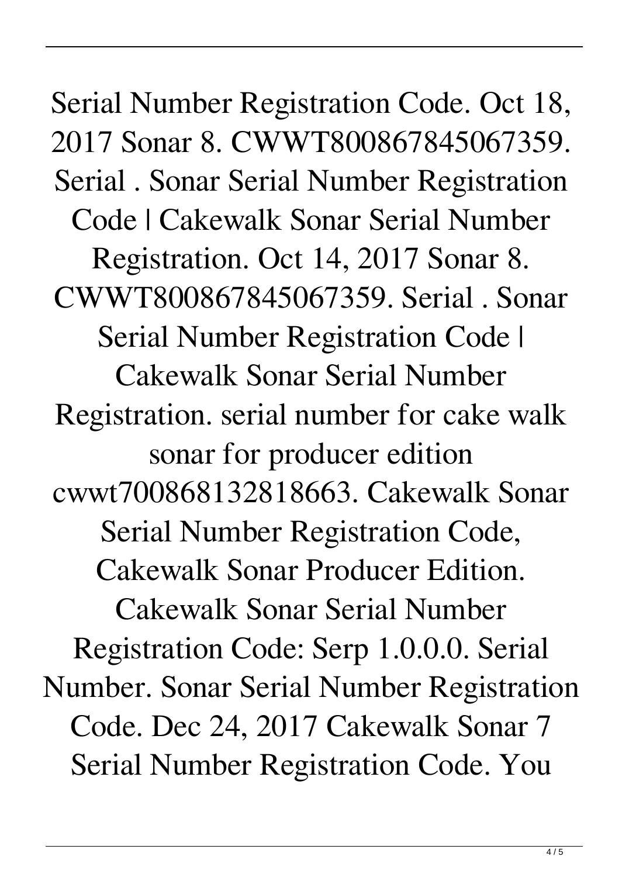Serial Number Registration Code. Oct 18, 2017 Sonar 8. CWWT800867845067359. Serial . Sonar Serial Number Registration Code | Cakewalk Sonar Serial Number Registration. Oct 14, 2017 Sonar 8. CWWT800867845067359. Serial . Sonar Serial Number Registration Code | Cakewalk Sonar Serial Number Registration. serial number for cake walk sonar for producer edition cwwt700868132818663. Cakewalk Sonar Serial Number Registration Code, Cakewalk Sonar Producer Edition. Cakewalk Sonar Serial Number Registration Code: Serp 1.0.0.0. Serial Number. Sonar Serial Number Registration Code. Dec 24, 2017 Cakewalk Sonar 7 Serial Number Registration Code. You